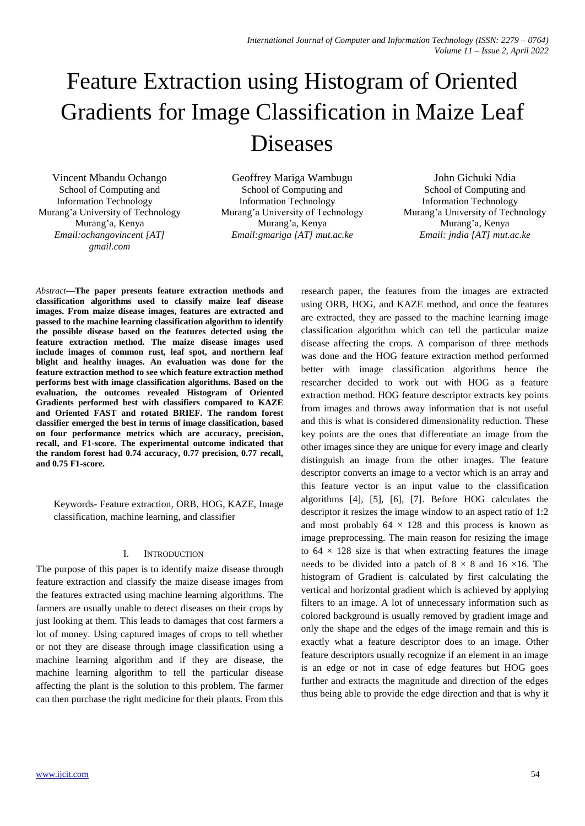# Feature Extraction using Histogram of Oriented Gradients for Image Classification in Maize Leaf Diseases

Vincent Mbandu Ochango School of Computing and Information Technology Murang'a University of Technology Murang'a, Kenya *Email:ochangovincent [AT] gmail.com*

Geoffrey Mariga Wambugu School of Computing and Information Technology Murang'a University of Technology Murang'a, Kenya *Email:gmariga [AT] mut.ac.ke*

John Gichuki Ndia School of Computing and Information Technology Murang'a University of Technology Murang'a, Kenya *Email: jndia [AT] mut.ac.ke*

*Abstract***—The paper presents feature extraction methods and classification algorithms used to classify maize leaf disease images. From maize disease images, features are extracted and passed to the machine learning classification algorithm to identify the possible disease based on the features detected using the feature extraction method. The maize disease images used include images of common rust, leaf spot, and northern leaf blight and healthy images. An evaluation was done for the feature extraction method to see which feature extraction method performs best with image classification algorithms. Based on the evaluation, the outcomes revealed Histogram of Oriented Gradients performed best with classifiers compared to KAZE and Oriented FAST and rotated BRIEF. The random forest classifier emerged the best in terms of image classification, based on four performance metrics which are accuracy, precision, recall, and F1-score. The experimental outcome indicated that the random forest had 0.74 accuracy, 0.77 precision, 0.77 recall, and 0.75 F1-score.**

Keywords- Feature extraction, ORB, HOG, KAZE, Image classification, machine learning, and classifier

# I. INTRODUCTION

The purpose of this paper is to identify maize disease through feature extraction and classify the maize disease images from the features extracted using machine learning algorithms. The farmers are usually unable to detect diseases on their crops by just looking at them. This leads to damages that cost farmers a lot of money. Using captured images of crops to tell whether or not they are disease through image classification using a machine learning algorithm and if they are disease, the machine learning algorithm to tell the particular disease affecting the plant is the solution to this problem. The farmer can then purchase the right medicine for their plants. From this

research paper, the features from the images are extracted using ORB, HOG, and KAZE method, and once the features are extracted, they are passed to the machine learning image classification algorithm which can tell the particular maize disease affecting the crops. A comparison of three methods was done and the HOG feature extraction method performed better with image classification algorithms hence the researcher decided to work out with HOG as a feature extraction method. HOG feature descriptor extracts key points from images and throws away information that is not useful and this is what is considered dimensionality reduction. These key points are the ones that differentiate an image from the other images since they are unique for every image and clearly distinguish an image from the other images. The feature descriptor converts an image to a vector which is an array and this feature vector is an input value to the classification algorithms [4], [5], [6], [7]. Before HOG calculates the descriptor it resizes the image window to an aspect ratio of 1:2 and most probably  $64 \times 128$  and this process is known as image preprocessing. The main reason for resizing the image to  $64 \times 128$  size is that when extracting features the image needs to be divided into a patch of  $8 \times 8$  and  $16 \times 16$ . The histogram of Gradient is calculated by first calculating the vertical and horizontal gradient which is achieved by applying filters to an image. A lot of unnecessary information such as colored background is usually removed by gradient image and only the shape and the edges of the image remain and this is exactly what a feature descriptor does to an image. Other feature descriptors usually recognize if an element in an image is an edge or not in case of edge features but HOG goes further and extracts the magnitude and direction of the edges thus being able to provide the edge direction and that is why it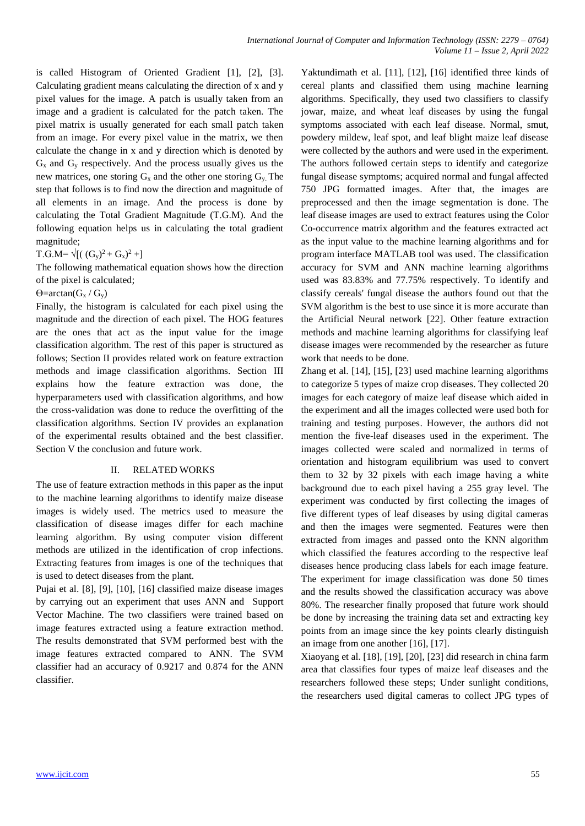is called Histogram of Oriented Gradient [1], [2], [3]. Calculating gradient means calculating the direction of x and y pixel values for the image. A patch is usually taken from an image and a gradient is calculated for the patch taken. The pixel matrix is usually generated for each small patch taken from an image. For every pixel value in the matrix, we then calculate the change in x and y direction which is denoted by  $G_x$  and  $G_y$  respectively. And the process usually gives us the new matrices, one storing  $G_x$  and the other one storing  $G_y$ . The step that follows is to find now the direction and magnitude of all elements in an image. And the process is done by calculating the Total Gradient Magnitude (T.G.M). And the following equation helps us in calculating the total gradient magnitude;

 $T.G.M = \sqrt{[( (G_y)^2 + G_x)^2 +]}$ 

The following mathematical equation shows how the direction of the pixel is calculated;

 $\Theta$ =arctan( $G_x/G_v$ )

Finally, the histogram is calculated for each pixel using the magnitude and the direction of each pixel. The HOG features are the ones that act as the input value for the image classification algorithm. The rest of this paper is structured as follows; Section II provides related work on feature extraction methods and image classification algorithms. Section III explains how the feature extraction was done, the hyperparameters used with classification algorithms, and how the cross-validation was done to reduce the overfitting of the classification algorithms. Section IV provides an explanation of the experimental results obtained and the best classifier. Section V the conclusion and future work.

# II. RELATED WORKS

The use of feature extraction methods in this paper as the input to the machine learning algorithms to identify maize disease images is widely used. The metrics used to measure the classification of disease images differ for each machine learning algorithm. By using computer vision different methods are utilized in the identification of crop infections. Extracting features from images is one of the techniques that is used to detect diseases from the plant.

Pujai et al. [8], [9], [10], [16] classified maize disease images by carrying out an experiment that uses ANN and Support Vector Machine. The two classifiers were trained based on image features extracted using a feature extraction method. The results demonstrated that SVM performed best with the image features extracted compared to ANN. The SVM classifier had an accuracy of 0.9217 and 0.874 for the ANN classifier.

Yaktundimath et al. [11], [12], [16] identified three kinds of cereal plants and classified them using machine learning algorithms. Specifically, they used two classifiers to classify jowar, maize, and wheat leaf diseases by using the fungal symptoms associated with each leaf disease. Normal, smut, powdery mildew, leaf spot, and leaf blight maize leaf disease were collected by the authors and were used in the experiment. The authors followed certain steps to identify and categorize fungal disease symptoms; acquired normal and fungal affected 750 JPG formatted images. After that, the images are preprocessed and then the image segmentation is done. The leaf disease images are used to extract features using the Color Co-occurrence matrix algorithm and the features extracted act as the input value to the machine learning algorithms and for program interface MATLAB tool was used. The classification accuracy for SVM and ANN machine learning algorithms used was 83.83% and 77.75% respectively. To identify and classify cereals' fungal disease the authors found out that the SVM algorithm is the best to use since it is more accurate than the Artificial Neural network [22]. Other feature extraction methods and machine learning algorithms for classifying leaf disease images were recommended by the researcher as future work that needs to be done.

Zhang et al. [14], [15], [23] used machine learning algorithms to categorize 5 types of maize crop diseases. They collected 20 images for each category of maize leaf disease which aided in the experiment and all the images collected were used both for training and testing purposes. However, the authors did not mention the five-leaf diseases used in the experiment. The images collected were scaled and normalized in terms of orientation and histogram equilibrium was used to convert them to 32 by 32 pixels with each image having a white background due to each pixel having a 255 gray level. The experiment was conducted by first collecting the images of five different types of leaf diseases by using digital cameras and then the images were segmented. Features were then extracted from images and passed onto the KNN algorithm which classified the features according to the respective leaf diseases hence producing class labels for each image feature. The experiment for image classification was done 50 times and the results showed the classification accuracy was above 80%. The researcher finally proposed that future work should be done by increasing the training data set and extracting key points from an image since the key points clearly distinguish an image from one another [16], [17].

Xiaoyang et al. [18], [19], [20], [23] did research in china farm area that classifies four types of maize leaf diseases and the researchers followed these steps; Under sunlight conditions, the researchers used digital cameras to collect JPG types of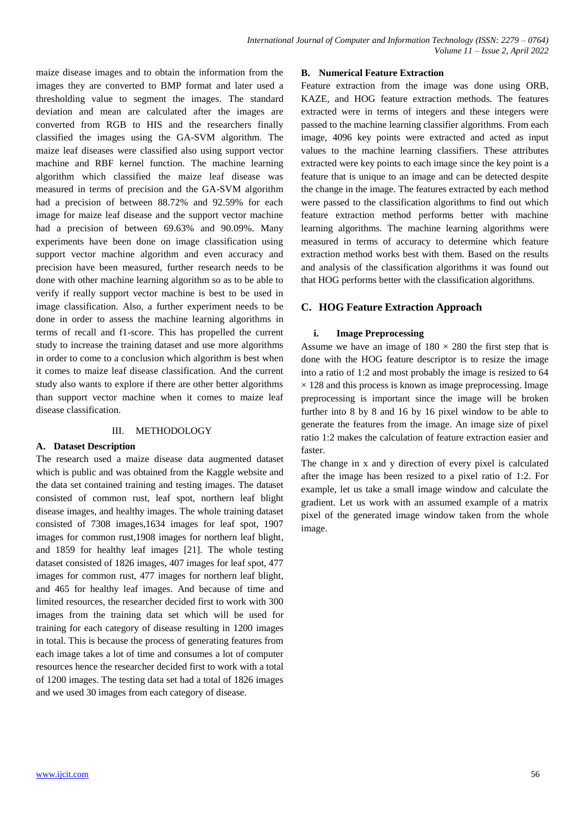maize disease images and to obtain the information from the images they are converted to BMP format and later used a thresholding value to segment the images. The standard deviation and mean are calculated after the images are converted from RGB to HIS and the researchers finally classified the images using the GA-SVM algorithm. The maize leaf diseases were classified also using support vector machine and RBF kernel function. The machine learning algorithm which classified the maize leaf disease was measured in terms of precision and the GA-SVM algorithm had a precision of between 88.72% and 92.59% for each image for maize leaf disease and the support vector machine had a precision of between 69.63% and 90.09%. Many experiments have been done on image classification using support vector machine algorithm and even accuracy and precision have been measured, further research needs to be done with other machine learning algorithm so as to be able to verify if really support vector machine is best to be used in image classification. Also, a further experiment needs to be done in order to assess the machine learning algorithms in terms of recall and f1-score. This has propelled the current study to increase the training dataset and use more algorithms in order to come to a conclusion which algorithm is best when it comes to maize leaf disease classification. And the current study also wants to explore if there are other better algorithms than support vector machine when it comes to maize leaf disease classification.

## III. METHODOLOGY

# **A. Dataset Description**

The research used a maize disease data augmented dataset which is public and was obtained from the Kaggle website and the data set contained training and testing images. The dataset consisted of common rust, leaf spot, northern leaf blight disease images, and healthy images. The whole training dataset consisted of 7308 images,1634 images for leaf spot, 1907 images for common rust,1908 images for northern leaf blight, and 1859 for healthy leaf images [21]. The whole testing dataset consisted of 1826 images, 407 images for leaf spot, 477 images for common rust, 477 images for northern leaf blight, and 465 for healthy leaf images. And because of time and limited resources, the researcher decided first to work with 300 images from the training data set which will be used for training for each category of disease resulting in 1200 images in total. This is because the process of generating features from each image takes a lot of time and consumes a lot of computer resources hence the researcher decided first to work with a total of 1200 images. The testing data set had a total of 1826 images and we used 30 images from each category of disease.

## **B. Numerical Feature Extraction**

Feature extraction from the image was done using ORB, KAZE, and HOG feature extraction methods. The features extracted were in terms of integers and these integers were passed to the machine learning classifier algorithms. From each image, 4096 key points were extracted and acted as input values to the machine learning classifiers. These attributes extracted were key points to each image since the key point is a feature that is unique to an image and can be detected despite the change in the image. The features extracted by each method were passed to the classification algorithms to find out which feature extraction method performs better with machine learning algorithms. The machine learning algorithms were measured in terms of accuracy to determine which feature extraction method works best with them. Based on the results and analysis of the classification algorithms it was found out that HOG performs better with the classification algorithms.

# **C. HOG Feature Extraction Approach**

## **i. Image Preprocessing**

Assume we have an image of  $180 \times 280$  the first step that is done with the HOG feature descriptor is to resize the image into a ratio of 1:2 and most probably the image is resized to 64  $\times$  128 and this process is known as image preprocessing. Image preprocessing is important since the image will be broken further into 8 by 8 and 16 by 16 pixel window to be able to generate the features from the image. An image size of pixel ratio 1:2 makes the calculation of feature extraction easier and faster.

The change in x and y direction of every pixel is calculated after the image has been resized to a pixel ratio of 1:2. For example, let us take a small image window and calculate the gradient. Let us work with an assumed example of a matrix pixel of the generated image window taken from the whole image.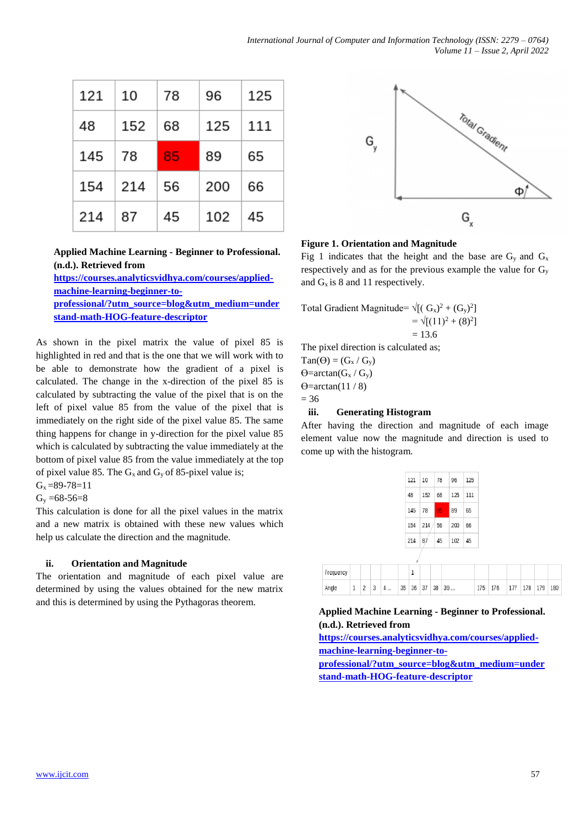| 121 | 10  | 78 | 96  | 125 |
|-----|-----|----|-----|-----|
| 48  | 152 | 68 | 125 | 111 |
| 145 | 78  | 85 | 89  | 65  |
| 154 | 214 | 56 | 200 | 66  |
| 214 | 87  | 45 | 102 | 45  |

**Applied Machine Learning - Beginner to Professional. (n.d.). Retrieved from** 

**[https://courses.analyticsvidhya.com/courses/applied](https://courses.analyticsvidhya.com/courses/applied-machine-learning-beginner-to-professional/?utm_source=blog&utm_medium=understand-math-HOG-feature-descriptor)[machine-learning-beginner-to](https://courses.analyticsvidhya.com/courses/applied-machine-learning-beginner-to-professional/?utm_source=blog&utm_medium=understand-math-HOG-feature-descriptor)[professional/?utm\\_source=blog&utm\\_medium=under](https://courses.analyticsvidhya.com/courses/applied-machine-learning-beginner-to-professional/?utm_source=blog&utm_medium=understand-math-HOG-feature-descriptor) [stand-math-HOG-feature-descriptor](https://courses.analyticsvidhya.com/courses/applied-machine-learning-beginner-to-professional/?utm_source=blog&utm_medium=understand-math-HOG-feature-descriptor)**

As shown in the pixel matrix the value of pixel 85 is highlighted in red and that is the one that we will work with to be able to demonstrate how the gradient of a pixel is calculated. The change in the x-direction of the pixel 85 is calculated by subtracting the value of the pixel that is on the left of pixel value 85 from the value of the pixel that is immediately on the right side of the pixel value 85. The same thing happens for change in y-direction for the pixel value 85 which is calculated by subtracting the value immediately at the bottom of pixel value 85 from the value immediately at the top of pixel value 85. The  $G_x$  and  $G_y$  of 85-pixel value is;

 $G_x = 89 - 78 = 11$  $G_v = 68 - 56 = 8$ 

This calculation is done for all the pixel values in the matrix and a new matrix is obtained with these new values which help us calculate the direction and the magnitude.

# **ii. Orientation and Magnitude**

The orientation and magnitude of each pixel value are determined by using the values obtained for the new matrix and this is determined by using the Pythagoras theorem.



# **Figure 1. Orientation and Magnitude**

Fig 1 indicates that the height and the base are  $G_y$  and  $G_x$ respectively and as for the previous example the value for  $G_y$ and  $G_x$  is 8 and 11 respectively.

Total Gradient Magnitude=  $\sqrt{[(G_x)^2 + (G_y)^2]}$  $=\sqrt{[(11)^2 + (8)^2]}$  $= 13.6$ The pixel direction is calculated as;  $Tan(\Theta) = (G_x / G_y)$ 

 $\Theta$ =arctan( $G_x/G_v$ )  $\Theta$ =arctan(11/8)  $= 36$ 

# **iii. Generating Histogram**

After having the direction and magnitude of each image element value now the magnitude and direction is used to come up with the histogram.

|        | 121   10  | 78 | 96  | 125 |
|--------|-----------|----|-----|-----|
| 48     | 152 68    |    | 125 | 111 |
| 145    | <b>78</b> | 85 | 89  | 65  |
| 154    | 214/      | 56 | 200 | 66  |
| 214 87 |           | 45 | 102 | 45  |

| Frequency |  |                                                      |  |  |  |                         |  |  |
|-----------|--|------------------------------------------------------|--|--|--|-------------------------|--|--|
| Angle     |  | $1 \ 2 \ 3 \ 4 \dots \ 35 \ 36 \ 37 \ 38 \ 39 \dots$ |  |  |  | 175 176 177 178 179 180 |  |  |

# **Applied Machine Learning - Beginner to Professional. (n.d.). Retrieved from**

**[https://courses.analyticsvidhya.com/courses/applied](https://courses.analyticsvidhya.com/courses/applied-machine-learning-beginner-to-professional/?utm_source=blog&utm_medium=understand-math-HOG-feature-descriptor)[machine-learning-beginner-to](https://courses.analyticsvidhya.com/courses/applied-machine-learning-beginner-to-professional/?utm_source=blog&utm_medium=understand-math-HOG-feature-descriptor)[professional/?utm\\_source=blog&utm\\_medium=under](https://courses.analyticsvidhya.com/courses/applied-machine-learning-beginner-to-professional/?utm_source=blog&utm_medium=understand-math-HOG-feature-descriptor) [stand-math-HOG-feature-descriptor](https://courses.analyticsvidhya.com/courses/applied-machine-learning-beginner-to-professional/?utm_source=blog&utm_medium=understand-math-HOG-feature-descriptor)**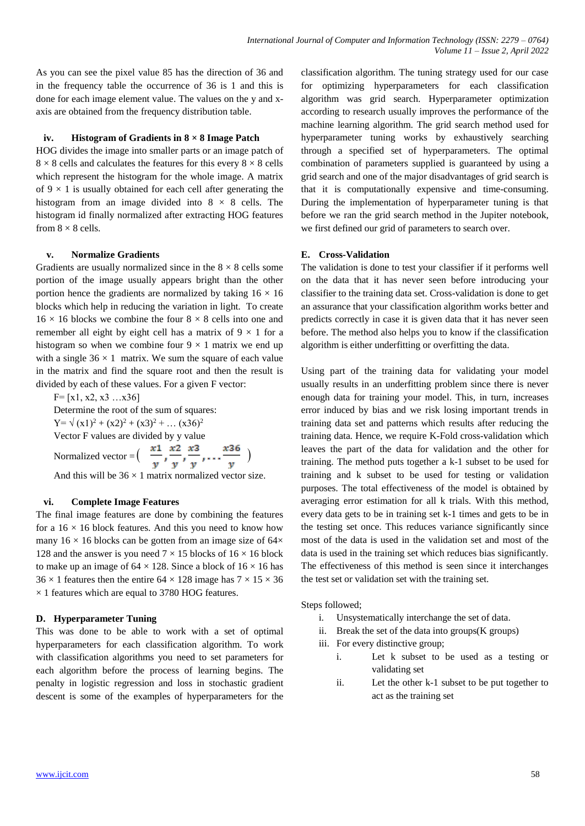As you can see the pixel value 85 has the direction of 36 and in the frequency table the occurrence of 36 is 1 and this is done for each image element value. The values on the y and xaxis are obtained from the frequency distribution table.

## **iv. Histogram of Gradients in 8 × 8 Image Patch**

HOG divides the image into smaller parts or an image patch of  $8 \times 8$  cells and calculates the features for this every  $8 \times 8$  cells which represent the histogram for the whole image. A matrix of  $9 \times 1$  is usually obtained for each cell after generating the histogram from an image divided into  $8 \times 8$  cells. The histogram id finally normalized after extracting HOG features from  $8 \times 8$  cells.

# **v. Normalize Gradients**

Gradients are usually normalized since in the  $8 \times 8$  cells some portion of the image usually appears bright than the other portion hence the gradients are normalized by taking  $16 \times 16$ blocks which help in reducing the variation in light. To create  $16 \times 16$  blocks we combine the four  $8 \times 8$  cells into one and remember all eight by eight cell has a matrix of  $9 \times 1$  for a histogram so when we combine four  $9 \times 1$  matrix we end up with a single  $36 \times 1$  matrix. We sum the square of each value in the matrix and find the square root and then the result is divided by each of these values. For a given F vector:

 $F=[x1, x2, x3 ... x36]$ Determine the root of the sum of squares:  $Y = \sqrt{(x1)^2 + (x2)^2 + (x3)^2 + \dots (x36)^2}$ Vector F values are divided by y value

Normalized vector =  $\left( \frac{x_1}{x_2}, \frac{x_2}{x_3}, \frac{x_3}{x_4}, \dots, \frac{x_{36}}{x_{36}} \right)$ 

And this will be  $36 \times 1$  matrix normalized vector size.

# **vi. Complete Image Features**

The final image features are done by combining the features for a  $16 \times 16$  block features. And this you need to know how many  $16 \times 16$  blocks can be gotten from an image size of  $64 \times$ 128 and the answer is you need  $7 \times 15$  blocks of  $16 \times 16$  block to make up an image of  $64 \times 128$ . Since a block of  $16 \times 16$  has  $36 \times 1$  features then the entire  $64 \times 128$  image has  $7 \times 15 \times 36$  $\times$  1 features which are equal to 3780 HOG features.

# **D. Hyperparameter Tuning**

This was done to be able to work with a set of optimal hyperparameters for each classification algorithm. To work with classification algorithms you need to set parameters for each algorithm before the process of learning begins. The penalty in logistic regression and loss in stochastic gradient descent is some of the examples of hyperparameters for the

classification algorithm. The tuning strategy used for our case for optimizing hyperparameters for each classification algorithm was grid search. Hyperparameter optimization according to research usually improves the performance of the machine learning algorithm. The grid search method used for hyperparameter tuning works by exhaustively searching through a specified set of hyperparameters. The optimal combination of parameters supplied is guaranteed by using a grid search and one of the major disadvantages of grid search is that it is computationally expensive and time-consuming. During the implementation of hyperparameter tuning is that before we ran the grid search method in the Jupiter notebook, we first defined our grid of parameters to search over.

## **E. Cross-Validation**

The validation is done to test your classifier if it performs well on the data that it has never seen before introducing your classifier to the training data set. Cross-validation is done to get an assurance that your classification algorithm works better and predicts correctly in case it is given data that it has never seen before. The method also helps you to know if the classification algorithm is either underfitting or overfitting the data.

Using part of the training data for validating your model usually results in an underfitting problem since there is never enough data for training your model. This, in turn, increases error induced by bias and we risk losing important trends in training data set and patterns which results after reducing the training data. Hence, we require K-Fold cross-validation which leaves the part of the data for validation and the other for training. The method puts together a k-1 subset to be used for training and k subset to be used for testing or validation purposes. The total effectiveness of the model is obtained by averaging error estimation for all k trials. With this method, every data gets to be in training set k-1 times and gets to be in the testing set once. This reduces variance significantly since most of the data is used in the validation set and most of the data is used in the training set which reduces bias significantly. The effectiveness of this method is seen since it interchanges the test set or validation set with the training set.

Steps followed;

- i. Unsystematically interchange the set of data.
- ii. Break the set of the data into groups $(K$  groups)
- iii. For every distinctive group;
	- i. Let k subset to be used as a testing or validating set
	- ii. Let the other k-1 subset to be put together to act as the training set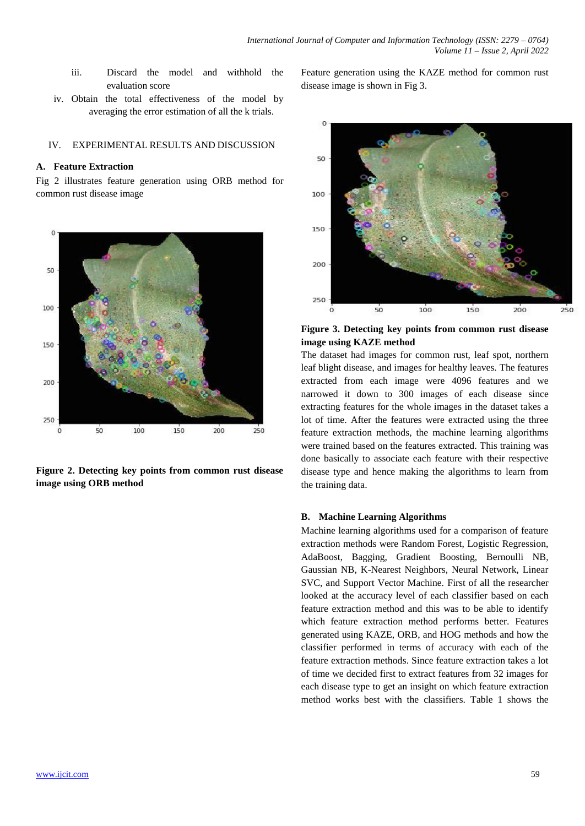- iii. Discard the model and withhold the evaluation score
- iv. Obtain the total effectiveness of the model by averaging the error estimation of all the k trials.

## IV. EXPERIMENTAL RESULTS AND DISCUSSION

## **A. Feature Extraction**

Fig 2 illustrates feature generation using ORB method for common rust disease image



**Figure 2. Detecting key points from common rust disease image using ORB method**

Feature generation using the KAZE method for common rust disease image is shown in Fig 3.



**Figure 3. Detecting key points from common rust disease image using KAZE method**

The dataset had images for common rust, leaf spot, northern leaf blight disease, and images for healthy leaves. The features extracted from each image were 4096 features and we narrowed it down to 300 images of each disease since extracting features for the whole images in the dataset takes a lot of time. After the features were extracted using the three feature extraction methods, the machine learning algorithms were trained based on the features extracted. This training was done basically to associate each feature with their respective disease type and hence making the algorithms to learn from the training data.

#### **B. Machine Learning Algorithms**

Machine learning algorithms used for a comparison of feature extraction methods were Random Forest, Logistic Regression, AdaBoost, Bagging, Gradient Boosting, Bernoulli NB, Gaussian NB, K-Nearest Neighbors, Neural Network, Linear SVC, and Support Vector Machine. First of all the researcher looked at the accuracy level of each classifier based on each feature extraction method and this was to be able to identify which feature extraction method performs better. Features generated using KAZE, ORB, and HOG methods and how the classifier performed in terms of accuracy with each of the feature extraction methods. Since feature extraction takes a lot of time we decided first to extract features from 32 images for each disease type to get an insight on which feature extraction method works best with the classifiers. Table 1 shows the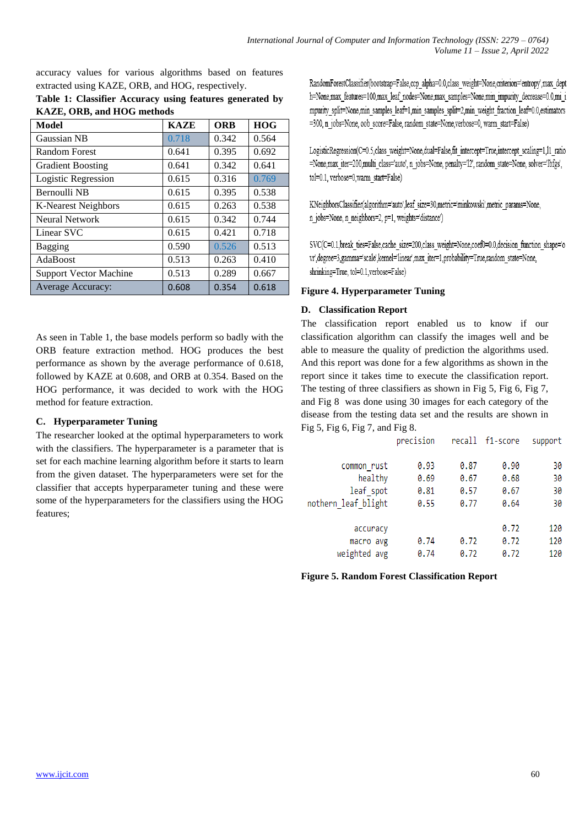accuracy values for various algorithms based on features extracted using KAZE, ORB, and HOG, respectively.

**Table 1: Classifier Accuracy using features generated by KAZE, ORB, and HOG methods**

| Model                         | <b>KAZE</b> | <b>ORB</b> | <b>HOG</b> |
|-------------------------------|-------------|------------|------------|
| <b>Gaussian NB</b>            | 0.718       | 0.342      | 0.564      |
| <b>Random Forest</b>          | 0.641       | 0.395      | 0.692      |
| <b>Gradient Boosting</b>      | 0.641       | 0.342      | 0.641      |
| Logistic Regression           | 0.615       | 0.316      | 0.769      |
| Bernoulli NB                  | 0.615       | 0.395      | 0.538      |
| <b>K-Nearest Neighbors</b>    | 0.615       | 0.263      | 0.538      |
| Neural Network                | 0.615       | 0.342      | 0.744      |
| Linear SVC                    | 0.615       | 0.421      | 0.718      |
| Bagging                       | 0.590       | 0.526      | 0.513      |
| AdaBoost                      | 0.513       | 0.263      | 0.410      |
| <b>Support Vector Machine</b> | 0.513       | 0.289      | 0.667      |
| Average Accuracy:             | 0.608       | 0.354      | 0.618      |

As seen in Table 1, the base models perform so badly with the ORB feature extraction method. HOG produces the best performance as shown by the average performance of 0.618, followed by KAZE at 0.608, and ORB at 0.354. Based on the HOG performance, it was decided to work with the HOG method for feature extraction.

# **C. Hyperparameter Tuning**

The researcher looked at the optimal hyperparameters to work with the classifiers. The hyperparameter is a parameter that is set for each machine learning algorithm before it starts to learn from the given dataset. The hyperparameters were set for the classifier that accepts hyperparameter tuning and these were some of the hyperparameters for the classifiers using the HOG features;

RandomForestClassifier(bootstrap=False,ccp\_alpha=0.0,class\_weight=None,criterion='entropy',max\_dept h=None max features=100 max leaf nodes=None max samples=None min impurity decrease=0.0 mi i mpurity split=None,min samples leaf=1,min samples split=2,min weight fraction leaf=0.0,estimators =300, n jobs=None, oob score=False, random state=None, verbose=0, warm start=False)

LogisticRegression(C=0.5,class weight=None,dual=False,fit intercept=True,intercept scaling=1,l1 ratio =None,max iter=200,multi class='auto', n jobs=None, penalty='12', random state=None, solver='lbfgs', tol=0.1, verbose=0,warm start=False)

KNeighborsClassifier(algorithm='auto',leaf\_size=30,metric='minkowski',metric\_params=None, n\_jobs=None, n\_neighbors=2, p=1, weights='distance')

SVC(C=0.1,break ties=False,cache size=200,class weight=None,coef0=0.0,decision function shape='o vr',degree=3,gamma='scale',kernel='linear',max iter=1,probability=True,random state=None, shrinking=True, tol=0.1, verbose=False)

# **Figure 4. Hyperparameter Tuning**

# **D. Classification Report**

The classification report enabled us to know if our classification algorithm can classify the images well and be able to measure the quality of prediction the algorithms used. And this report was done for a few algorithms as shown in the report since it takes time to execute the classification report. The testing of three classifiers as shown in Fig 5, Fig 6, Fig 7, and Fig 8 was done using 30 images for each category of the disease from the testing data set and the results are shown in Fig 5, Fig 6, Fig 7, and Fig 8.

|                     | precision |      | recall f1-score | support |
|---------------------|-----------|------|-----------------|---------|
|                     |           |      |                 |         |
| common rust         | 0.93      | 0.87 | 0.90            | 30      |
| healthy             | 0.69      | 0.67 | 0.68            | 30      |
| leaf spot           | 0.81      | 0.57 | 0.67            | 30      |
| nothern leaf blight | 0.55      | 0.77 | 0.64            | 30      |
|                     |           |      |                 |         |
| accuracy            |           |      | 0.72            | 120     |
| macro avg           | 0.74      | 0.72 | 0.72            | 120     |
| weighted avg        | 0.74      | 0.72 | 0.72            | 120     |

**Figure 5. Random Forest Classification Report**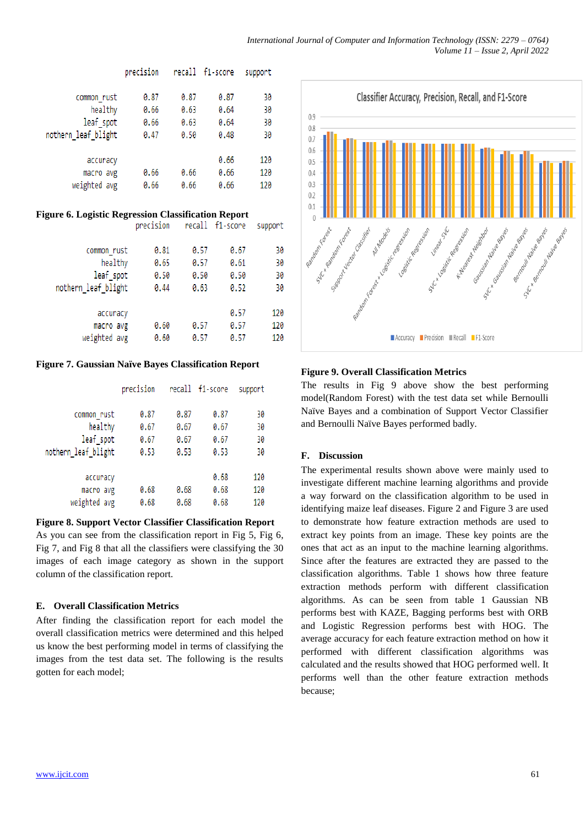|      |           |      | support         |
|------|-----------|------|-----------------|
|      |           |      |                 |
| 0.87 | 0.87      | 0.87 | 30              |
| 0.66 | 0.63      | 0.64 | 30              |
| 0.66 | 0.63      | 0.64 | 30              |
| 0.47 | 0.50      | 0.48 | 30              |
|      |           |      |                 |
|      |           | 0.66 | 120             |
| 0.66 | 0.66      | 0.66 | 120             |
| 0.66 | 0.66      | 0.66 | 120             |
|      | precision |      | recall f1-score |

#### **Figure 6. Logistic Regression Classification Report** nnecision

| <b>DI CCTOTALI</b> |      |      | <b>Support</b>         |
|--------------------|------|------|------------------------|
|                    |      |      |                        |
| 0.81               | 0.57 | 0.67 | 30                     |
| 0.65               | 0.57 | 0.61 | 30                     |
| 0.50               | 0.50 | 0.50 | 30                     |
| 0.44               | 0.63 | 0.52 | 30                     |
|                    |      |      |                        |
|                    |      | 0.57 | 120                    |
| 0.60               | 0.57 | 0.57 | 120                    |
| 0.60               | 0.57 | 0.57 | 120                    |
|                    |      |      | <b>ICCOTT IT.SCALE</b> |

**CURRANT** 

# **Figure 7. Gaussian Naïve Bayes Classification Report**

|                      | precision    |              | recall f1-score | support  |
|----------------------|--------------|--------------|-----------------|----------|
| common rust          | 0.87         | 0.87         | 0.87            | 30       |
| healthy<br>leaf spot | 0.67<br>0.67 | 0.67<br>0.67 | 0.67<br>0.67    | 30<br>30 |
| nothern leaf blight  | 0.53         | 0.53         | 0.53            | 30       |
| accuracy             |              |              | 0.68            | 120      |
| macro avg            | 0.68         | 0.68         | 0.68            | 120      |
| weighted avg         | 0.68         | 0.68         | 0.68            | 120      |

# **Figure 8. Support Vector Classifier Classification Report**

As you can see from the classification report in Fig 5, Fig 6, Fig 7, and Fig 8 that all the classifiers were classifying the 30 images of each image category as shown in the support column of the classification report.

# **E. Overall Classification Metrics**

After finding the classification report for each model the overall classification metrics were determined and this helped us know the best performing model in terms of classifying the images from the test data set. The following is the results gotten for each model;



# **Figure 9. Overall Classification Metrics**

The results in Fig 9 above show the best performing model(Random Forest) with the test data set while Bernoulli Naïve Bayes and a combination of Support Vector Classifier and Bernoulli Naïve Bayes performed badly.

# **F. Discussion**

The experimental results shown above were mainly used to investigate different machine learning algorithms and provide a way forward on the classification algorithm to be used in identifying maize leaf diseases. Figure 2 and Figure 3 are used to demonstrate how feature extraction methods are used to extract key points from an image. These key points are the ones that act as an input to the machine learning algorithms. Since after the features are extracted they are passed to the classification algorithms. Table 1 shows how three feature extraction methods perform with different classification algorithms. As can be seen from table 1 Gaussian NB performs best with KAZE, Bagging performs best with ORB and Logistic Regression performs best with HOG. The average accuracy for each feature extraction method on how it performed with different classification algorithms was calculated and the results showed that HOG performed well. It performs well than the other feature extraction methods because;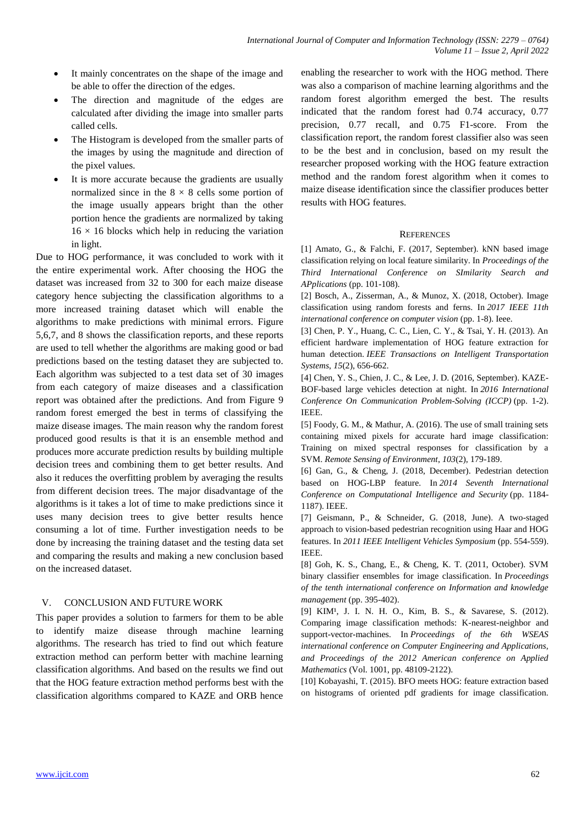- It mainly concentrates on the shape of the image and be able to offer the direction of the edges.
- The direction and magnitude of the edges are calculated after dividing the image into smaller parts called cells.
- The Histogram is developed from the smaller parts of the images by using the magnitude and direction of the pixel values.
- It is more accurate because the gradients are usually normalized since in the  $8 \times 8$  cells some portion of the image usually appears bright than the other portion hence the gradients are normalized by taking  $16 \times 16$  blocks which help in reducing the variation in light.

Due to HOG performance, it was concluded to work with it the entire experimental work. After choosing the HOG the dataset was increased from 32 to 300 for each maize disease category hence subjecting the classification algorithms to a more increased training dataset which will enable the algorithms to make predictions with minimal errors. Figure 5,6,7, and 8 shows the classification reports, and these reports are used to tell whether the algorithms are making good or bad predictions based on the testing dataset they are subjected to. Each algorithm was subjected to a test data set of 30 images from each category of maize diseases and a classification report was obtained after the predictions. And from Figure 9 random forest emerged the best in terms of classifying the maize disease images. The main reason why the random forest produced good results is that it is an ensemble method and produces more accurate prediction results by building multiple decision trees and combining them to get better results. And also it reduces the overfitting problem by averaging the results from different decision trees. The major disadvantage of the algorithms is it takes a lot of time to make predictions since it uses many decision trees to give better results hence consuming a lot of time. Further investigation needs to be done by increasing the training dataset and the testing data set and comparing the results and making a new conclusion based on the increased dataset.

# V. CONCLUSION AND FUTURE WORK

This paper provides a solution to farmers for them to be able to identify maize disease through machine learning algorithms. The research has tried to find out which feature extraction method can perform better with machine learning classification algorithms. And based on the results we find out that the HOG feature extraction method performs best with the classification algorithms compared to KAZE and ORB hence enabling the researcher to work with the HOG method. There was also a comparison of machine learning algorithms and the random forest algorithm emerged the best. The results indicated that the random forest had 0.74 accuracy, 0.77 precision, 0.77 recall, and 0.75 F1-score. From the classification report, the random forest classifier also was seen to be the best and in conclusion, based on my result the researcher proposed working with the HOG feature extraction method and the random forest algorithm when it comes to maize disease identification since the classifier produces better results with HOG features.

# **REFERENCES**

[1] Amato, G., & Falchi, F. (2017, September). kNN based image classification relying on local feature similarity. In *Proceedings of the Third International Conference on SImilarity Search and APplications* (pp. 101-108).

[2] Bosch, A., Zisserman, A., & Munoz, X. (2018, October). Image classification using random forests and ferns. In *2017 IEEE 11th international conference on computer vision* (pp. 1-8). Ieee.

[3] Chen, P. Y., Huang, C. C., Lien, C. Y., & Tsai, Y. H. (2013). An efficient hardware implementation of HOG feature extraction for human detection. *IEEE Transactions on Intelligent Transportation Systems*, *15*(2), 656-662.

[4] Chen, Y. S., Chien, J. C., & Lee, J. D. (2016, September). KAZE-BOF-based large vehicles detection at night. In *2016 International Conference On Communication Problem-Solving (ICCP)* (pp. 1-2). IEEE.

[5] Foody, G. M., & Mathur, A. (2016). The use of small training sets containing mixed pixels for accurate hard image classification: Training on mixed spectral responses for classification by a SVM. *Remote Sensing of Environment*, *103*(2), 179-189.

[6] Gan, G., & Cheng, J. (2018, December). Pedestrian detection based on HOG-LBP feature. In *2014 Seventh International Conference on Computational Intelligence and Security* (pp. 1184- 1187). IEEE.

[7] Geismann, P., & Schneider, G. (2018, June). A two-staged approach to vision-based pedestrian recognition using Haar and HOG features. In *2011 IEEE Intelligent Vehicles Symposium* (pp. 554-559). IEEE.

[8] Goh, K. S., Chang, E., & Cheng, K. T. (2011, October). SVM binary classifier ensembles for image classification. In *Proceedings of the tenth international conference on Information and knowledge management* (pp. 395-402).

[9] KIM<sup>1</sup>, J. I. N. H. O., Kim, B. S., & Savarese, S. (2012). Comparing image classification methods: K-nearest-neighbor and support-vector-machines. In *Proceedings of the 6th WSEAS international conference on Computer Engineering and Applications, and Proceedings of the 2012 American conference on Applied Mathematics* (Vol. 1001, pp. 48109-2122).

[10] Kobayashi, T. (2015). BFO meets HOG: feature extraction based on histograms of oriented pdf gradients for image classification.